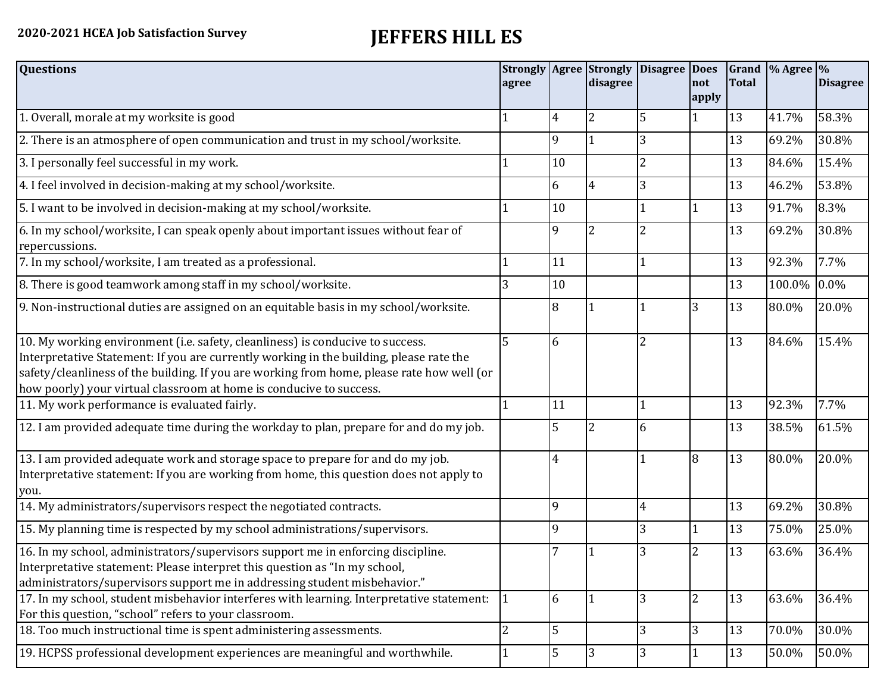## **2020-2021 HCEA Job Satisfaction Survey JEFFERS HILL ES**

| <b>Questions</b>                                                                                                                                                                                                                                                                                                                               | agree          |              | disagree       | Strongly   Agree   Strongly   Disagree   Does | not            | <b>Total</b> | Grand $\frac{9}{6}$ Agree $\frac{9}{6}$ | <b>Disagree</b> |
|------------------------------------------------------------------------------------------------------------------------------------------------------------------------------------------------------------------------------------------------------------------------------------------------------------------------------------------------|----------------|--------------|----------------|-----------------------------------------------|----------------|--------------|-----------------------------------------|-----------------|
|                                                                                                                                                                                                                                                                                                                                                |                |              |                |                                               | apply          |              |                                         |                 |
| 1. Overall, morale at my worksite is good                                                                                                                                                                                                                                                                                                      |                | 4            | $\overline{2}$ | 5                                             |                | 13           | 41.7%                                   | 58.3%           |
| 2. There is an atmosphere of open communication and trust in my school/worksite.                                                                                                                                                                                                                                                               |                | $\mathsf{q}$ | 1              | 3                                             |                | 13           | 69.2%                                   | 30.8%           |
| 3. I personally feel successful in my work.                                                                                                                                                                                                                                                                                                    |                | 10           |                |                                               |                | 13           | 84.6%                                   | 15.4%           |
| 4. I feel involved in decision-making at my school/worksite.                                                                                                                                                                                                                                                                                   |                | 6            | $\overline{4}$ | 3                                             |                | 13           | 46.2%                                   | 53.8%           |
| 5. I want to be involved in decision-making at my school/worksite.                                                                                                                                                                                                                                                                             |                | 10           |                |                                               | 1              | 13           | 91.7%                                   | 8.3%            |
| 6. In my school/worksite, I can speak openly about important issues without fear of<br>repercussions.                                                                                                                                                                                                                                          |                | 9            | $\overline{2}$ |                                               |                | 13           | 69.2%                                   | 30.8%           |
| 7. In my school/worksite, I am treated as a professional.                                                                                                                                                                                                                                                                                      |                | 11           |                |                                               |                | 13           | 92.3%                                   | 7.7%            |
| 8. There is good teamwork among staff in my school/worksite.                                                                                                                                                                                                                                                                                   |                | 10           |                |                                               |                | 13           | 100.0%                                  | 0.0%            |
| 9. Non-instructional duties are assigned on an equitable basis in my school/worksite.                                                                                                                                                                                                                                                          |                | 8            |                |                                               | 3              | 13           | 80.0%                                   | 20.0%           |
| 10. My working environment (i.e. safety, cleanliness) is conducive to success.<br>Interpretative Statement: If you are currently working in the building, please rate the<br>safety/cleanliness of the building. If you are working from home, please rate how well (or<br>how poorly) your virtual classroom at home is conducive to success. | 5              | 6            |                |                                               |                | 13           | 84.6%                                   | 15.4%           |
| 11. My work performance is evaluated fairly.                                                                                                                                                                                                                                                                                                   |                | 11           |                |                                               |                | 13           | 92.3%                                   | 7.7%            |
| 12. I am provided adequate time during the workday to plan, prepare for and do my job.                                                                                                                                                                                                                                                         |                | 5            | 2              | 6                                             |                | 13           | 38.5%                                   | 61.5%           |
| 13. I am provided adequate work and storage space to prepare for and do my job.<br>Interpretative statement: If you are working from home, this question does not apply to<br>you.                                                                                                                                                             |                | 4            |                |                                               | 8              | 13           | 80.0%                                   | 20.0%           |
| 14. My administrators/supervisors respect the negotiated contracts.                                                                                                                                                                                                                                                                            |                | 9            |                | 4                                             |                | 13           | 69.2%                                   | 30.8%           |
| 15. My planning time is respected by my school administrations/supervisors.                                                                                                                                                                                                                                                                    |                | 9            |                | 3                                             | 1              | 13           | 75.0%                                   | 25.0%           |
| 16. In my school, administrators/supervisors support me in enforcing discipline.<br>Interpretative statement: Please interpret this question as "In my school,<br>administrators/supervisors support me in addressing student misbehavior."                                                                                                    |                |              |                | 3                                             | 2              | 13           | 63.6%                                   | 36.4%           |
| 17. In my school, student misbehavior interferes with learning. Interpretative statement:<br>For this question, "school" refers to your classroom.                                                                                                                                                                                             |                | 6            | $\vert$ 1      | 3                                             | $\overline{2}$ | 13           | 63.6%                                   | 36.4%           |
| 18. Too much instructional time is spent administering assessments.                                                                                                                                                                                                                                                                            | $\overline{2}$ | 5            |                | 3                                             | 3              | 13           | 70.0%                                   | 30.0%           |
| 19. HCPSS professional development experiences are meaningful and worthwhile.                                                                                                                                                                                                                                                                  |                | 5            | 3              | 3                                             | $\mathbf{1}$   | 13           | 50.0%                                   | 50.0%           |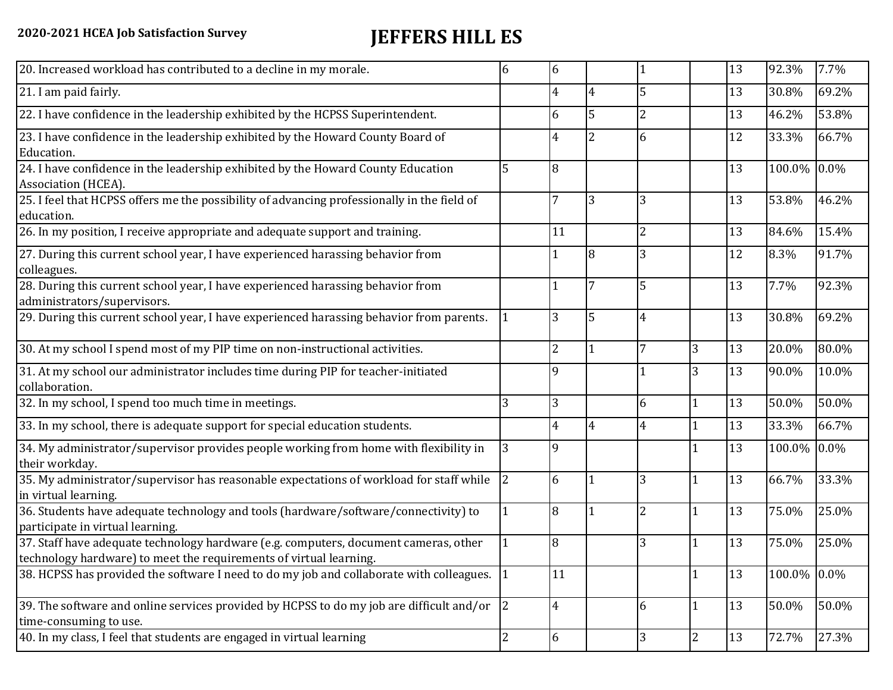## **2020-2021 HCEA Job Satisfaction Survey JEFFERS HILL ES**

| 20. Increased workload has contributed to a decline in my morale.                                                                                          | 6              | 6              |                |                |                | 13 | 92.3%       | 7.7%  |
|------------------------------------------------------------------------------------------------------------------------------------------------------------|----------------|----------------|----------------|----------------|----------------|----|-------------|-------|
| 21. I am paid fairly.                                                                                                                                      |                | $\overline{4}$ | 4              | 5              |                | 13 | 30.8%       | 69.2% |
| 22. I have confidence in the leadership exhibited by the HCPSS Superintendent.                                                                             |                | 6              | 5              | $\overline{2}$ |                | 13 | 46.2%       | 53.8% |
| 23. I have confidence in the leadership exhibited by the Howard County Board of<br>Education.                                                              |                | 4              | $\overline{2}$ | 6              |                | 12 | 33.3%       | 66.7% |
| 24. I have confidence in the leadership exhibited by the Howard County Education<br>Association (HCEA).                                                    | 5              | 8              |                |                |                | 13 | 100.0%      | 0.0%  |
| 25. I feel that HCPSS offers me the possibility of advancing professionally in the field of<br>education.                                                  |                | $\overline{7}$ | 3              | 3              |                | 13 | 53.8%       | 46.2% |
| 26. In my position, I receive appropriate and adequate support and training.                                                                               |                | 11             |                | 2              |                | 13 | 84.6%       | 15.4% |
| 27. During this current school year, I have experienced harassing behavior from<br>colleagues.                                                             |                | 1              | $\overline{8}$ | 3              |                | 12 | 8.3%        | 91.7% |
| 28. During this current school year, I have experienced harassing behavior from<br>administrators/supervisors.                                             |                | 1              |                | 5              |                | 13 | 7.7%        | 92.3% |
| 29. During this current school year, I have experienced harassing behavior from parents.                                                                   |                | 3              | 5              | 4              |                | 13 | 30.8%       | 69.2% |
| 30. At my school I spend most of my PIP time on non-instructional activities.                                                                              |                | $\overline{2}$ | $\overline{1}$ | 7              | 3              | 13 | 20.0%       | 80.0% |
| 31. At my school our administrator includes time during PIP for teacher-initiated<br>collaboration.                                                        |                | $\mathbf{Q}$   |                |                | 3              | 13 | 90.0%       | 10.0% |
| 32. In my school, I spend too much time in meetings.                                                                                                       | 3              | 3              |                | 6              | $\mathbf{1}$   | 13 | 50.0%       | 50.0% |
| 33. In my school, there is adequate support for special education students.                                                                                |                | $\overline{4}$ | $\overline{4}$ | 4              |                | 13 | 33.3%       | 66.7% |
| 34. My administrator/supervisor provides people working from home with flexibility in<br>their workday.                                                    | 3              | 9              |                |                |                | 13 | 100.0%      | 0.0%  |
| 35. My administrator/supervisor has reasonable expectations of workload for staff while<br>in virtual learning.                                            | $\overline{2}$ | 6              |                | 3              | $\mathbf{1}$   | 13 | 66.7%       | 33.3% |
| 36. Students have adequate technology and tools (hardware/software/connectivity) to<br>participate in virtual learning.                                    |                | 8              | 1              | $\overline{2}$ |                | 13 | 75.0%       | 25.0% |
| 37. Staff have adequate technology hardware (e.g. computers, document cameras, other<br>technology hardware) to meet the requirements of virtual learning. |                | 8              |                | 3              |                | 13 | 75.0%       | 25.0% |
| 38. HCPSS has provided the software I need to do my job and collaborate with colleagues.                                                                   |                | 11             |                |                |                | 13 | 100.0% 0.0% |       |
| 39. The software and online services provided by HCPSS to do my job are difficult and/or<br>time-consuming to use.                                         | 2              | $\overline{4}$ |                | 6              | $\mathbf{1}$   | 13 | 50.0%       | 50.0% |
| 40. In my class, I feel that students are engaged in virtual learning                                                                                      | 2              | 6              |                | 3              | $\overline{2}$ | 13 | 72.7%       | 27.3% |